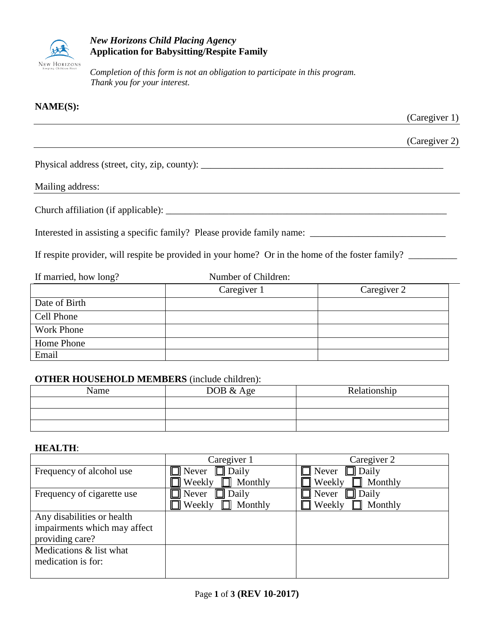

# *New Horizons Child Placing Agency* **Application for Babysitting/Respite Family**

*Completion of this form is not an obligation to participate in this program. Thank you for your interest.*

# **NAME(S):**

(Caregiver 1)

(Caregiver 2)

Physical address (street, city, zip, county): \_\_\_\_\_\_\_\_\_\_\_\_\_\_\_\_\_\_\_\_\_\_\_\_\_\_\_\_\_\_\_\_\_\_\_\_\_\_\_\_\_\_\_\_\_\_\_\_\_\_

### Mailing address:

Church affiliation (if applicable): \_\_\_\_\_\_\_\_\_\_\_\_\_\_\_\_\_\_\_\_\_\_\_\_\_\_\_\_\_\_\_\_\_\_\_\_\_\_\_\_\_\_\_\_\_\_\_\_\_\_\_\_\_\_\_\_\_\_

Interested in assisting a specific family? Please provide family name:

If respite provider, will respite be provided in your home? Or in the home of the foster family? \_\_\_\_\_\_\_\_\_\_\_\_\_

| If married, how long? | Number of Children: |             |
|-----------------------|---------------------|-------------|
|                       | Caregiver 1         | Caregiver 2 |
| Date of Birth         |                     |             |
| Cell Phone            |                     |             |
| <b>Work Phone</b>     |                     |             |
| Home Phone            |                     |             |
| Email                 |                     |             |

#### **OTHER HOUSEHOLD MEMBERS** (include children):

| Name | DOB & Age | Relationship |
|------|-----------|--------------|
|      |           |              |
|      |           |              |
|      |           |              |

### **HEALTH**:

|                              | Caregiver 1                  | Caregiver 2              |
|------------------------------|------------------------------|--------------------------|
| Frequency of alcohol use     | $\Box$ Never<br>$\Box$ Daily | $\Box$ Daily<br>Never    |
|                              | Weekly<br>Monthly            | Weekly<br>Monthly        |
| Frequency of cigarette use   | $\Box$ Daily<br>Never        | Daily<br>Never           |
|                              | $\Box$ Weekly<br>Monthly     | Weekly<br>$\Box$ Monthly |
| Any disabilities or health   |                              |                          |
| impairments which may affect |                              |                          |
| providing care?              |                              |                          |
| Medications & list what      |                              |                          |
| medication is for:           |                              |                          |
|                              |                              |                          |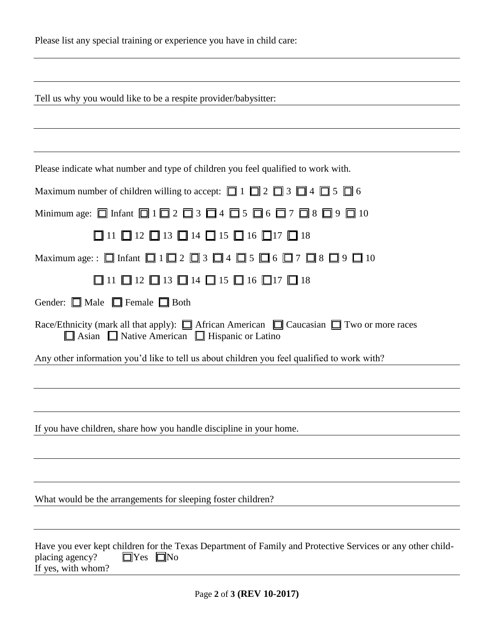|  |  |  |  |  | Please list any special training or experience you have in child care: |
|--|--|--|--|--|------------------------------------------------------------------------|
|--|--|--|--|--|------------------------------------------------------------------------|

|  | Tell us why you would like to be a respite provider/babysitter: |
|--|-----------------------------------------------------------------|
|  |                                                                 |

|  |  |  |  | Please indicate what number and type of children you feel qualified to work with. |
|--|--|--|--|-----------------------------------------------------------------------------------|
|  |  |  |  |                                                                                   |

| Maximum number of children willing to accept: $\Box$ 1 $\Box$ 2 $\Box$ 3 $\Box$ 4 $\Box$ 5 $\Box$ 6                                                                      |
|--------------------------------------------------------------------------------------------------------------------------------------------------------------------------|
| Minimum age: $\Box$ Infant $\Box$ 1 $\Box$ 2 $\Box$ 3 $\Box$ 4 $\Box$ 5 $\Box$ 6 $\Box$ 7 $\Box$ 8 $\Box$ 9 $\Box$ 10                                                    |
| $\Box$ 11 $\Box$ 12 $\Box$ 13 $\Box$ 14 $\Box$ 15 $\Box$ 16 $\Box$ 17 $\Box$ 18                                                                                          |
| Maximum age: : $\Box$ Infant $\Box$ 1 $\Box$ 2 $\Box$ 3 $\Box$ 4 $\Box$ 5 $\Box$ 6 $\Box$ 7 $\Box$ 8 $\Box$ 9 $\Box$ 10                                                  |
| $\Box$ 11 $\Box$ 12 $\Box$ 13 $\Box$ 14 $\Box$ 15 $\Box$ 16 $\Box$ 17 $\Box$ 18                                                                                          |
| Gender: $\Box$ Male $\Box$ Female $\Box$ Both                                                                                                                            |
| Race/Ethnicity (mark all that apply): $\Box$ African American $\Box$ Caucasian $\Box$ Two or more races<br>$\Box$ Asian $\Box$ Native American $\Box$ Hispanic or Latino |
| Any other information you'd like to tell us about children you feel qualified to work with?                                                                              |
|                                                                                                                                                                          |
|                                                                                                                                                                          |
| If you have children, share how you handle discipline in your home.                                                                                                      |
|                                                                                                                                                                          |
| What would be the arrangements for sleeping foster children?                                                                                                             |
|                                                                                                                                                                          |
|                                                                                                                                                                          |

|                    |                      | Have you ever kept children for the Texas Department of Family and Protective Services or any other child- |  |
|--------------------|----------------------|------------------------------------------------------------------------------------------------------------|--|
| placing agency?    | $\Box$ Yes $\Box$ No |                                                                                                            |  |
| If yes, with whom? |                      |                                                                                                            |  |